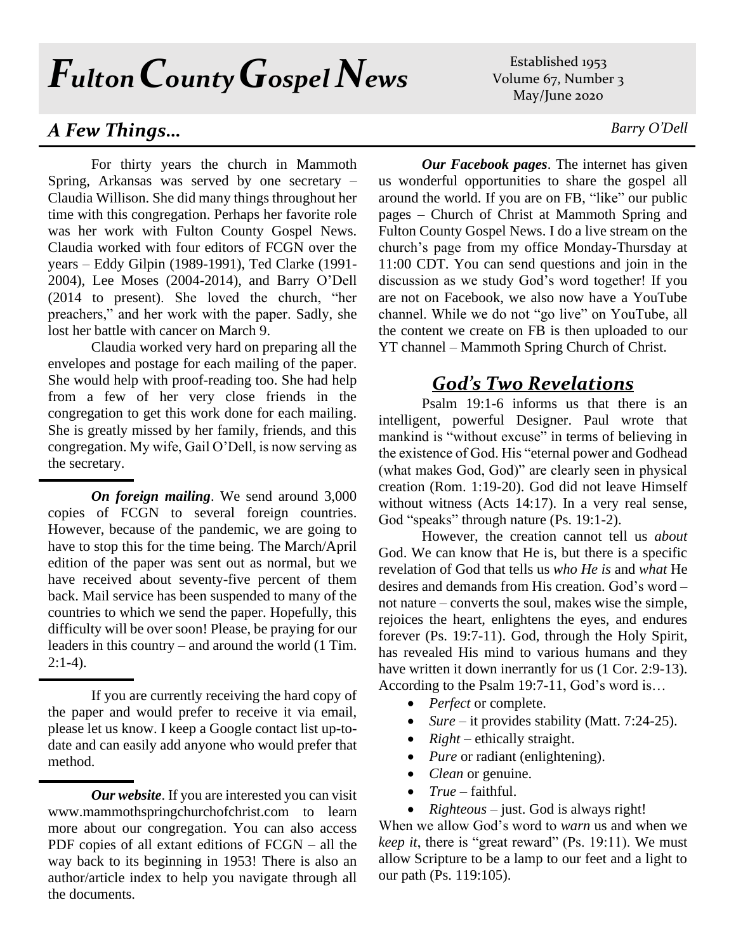# *FultonCountyGospel News*

## *A Few Things… Barry O'Dell*

For thirty years the church in Mammoth Spring, Arkansas was served by one secretary – Claudia Willison. She did many things throughout her time with this congregation. Perhaps her favorite role was her work with Fulton County Gospel News. Claudia worked with four editors of FCGN over the years – Eddy Gilpin (1989-1991), Ted Clarke (1991- 2004), Lee Moses (2004-2014), and Barry O'Dell (2014 to present). She loved the church, "her preachers," and her work with the paper. Sadly, she lost her battle with cancer on March 9.

Claudia worked very hard on preparing all the envelopes and postage for each mailing of the paper. She would help with proof-reading too. She had help from a few of her very close friends in the congregation to get this work done for each mailing. She is greatly missed by her family, friends, and this congregation. My wife, Gail O'Dell, is now serving as the secretary.

*On foreign mailing*. We send around 3,000 copies of FCGN to several foreign countries. However, because of the pandemic, we are going to have to stop this for the time being. The March/April edition of the paper was sent out as normal, but we have received about seventy-five percent of them back. Mail service has been suspended to many of the countries to which we send the paper. Hopefully, this difficulty will be over soon! Please, be praying for our leaders in this country – and around the world (1 Tim.  $2:1-4$ ).

If you are currently receiving the hard copy of the paper and would prefer to receive it via email, please let us know. I keep a Google contact list up-todate and can easily add anyone who would prefer that method.

*Our website*. If you are interested you can visit [www.mammothspringchurchofchrist.com](http://www.mammothspringchurchofchrist.com/) to learn more about our congregation. You can also access PDF copies of all extant editions of FCGN – all the way back to its beginning in 1953! There is also an author/article index to help you navigate through all the documents.

Established 1953 Volume 67, Number 3 May/June 2020

*Our Facebook pages*. The internet has given us wonderful opportunities to share the gospel all around the world. If you are on FB, "like" our public pages – Church of Christ at Mammoth Spring and Fulton County Gospel News. I do a live stream on the church's page from my office Monday-Thursday at 11:00 CDT. You can send questions and join in the discussion as we study God's word together! If you are not on Facebook, we also now have a YouTube channel. While we do not "go live" on YouTube, all the content we create on FB is then uploaded to our YT channel – Mammoth Spring Church of Christ.

### *God's Two Revelations*

Psalm 19:1-6 informs us that there is an intelligent, powerful Designer. Paul wrote that mankind is "without excuse" in terms of believing in the existence of God. His "eternal power and Godhead (what makes God, God)" are clearly seen in physical creation (Rom. 1:19-20). God did not leave Himself without witness (Acts 14:17). In a very real sense, God "speaks" through nature (Ps. 19:1-2).

However, the creation cannot tell us *about* God. We can know that He is, but there is a specific revelation of God that tells us *who He is* and *what* He desires and demands from His creation. God's word – not nature – converts the soul, makes wise the simple, rejoices the heart, enlightens the eyes, and endures forever (Ps. 19:7-11). God, through the Holy Spirit, has revealed His mind to various humans and they have written it down inerrantly for us  $(1 \text{ Cor. } 2:9-13)$ . According to the Psalm 19:7-11, God's word is…

- *Perfect* or complete.
- *Sure* it provides stability (Matt. 7:24-25).
- *Right* ethically straight.
- *Pure* or radiant (enlightening).
- *Clean* or genuine.
- *True* faithful.

• *Righteous* – just. God is always right!

When we allow God's word to *warn* us and when we *keep it*, there is "great reward" (Ps. 19:11). We must allow Scripture to be a lamp to our feet and a light to our path (Ps. 119:105).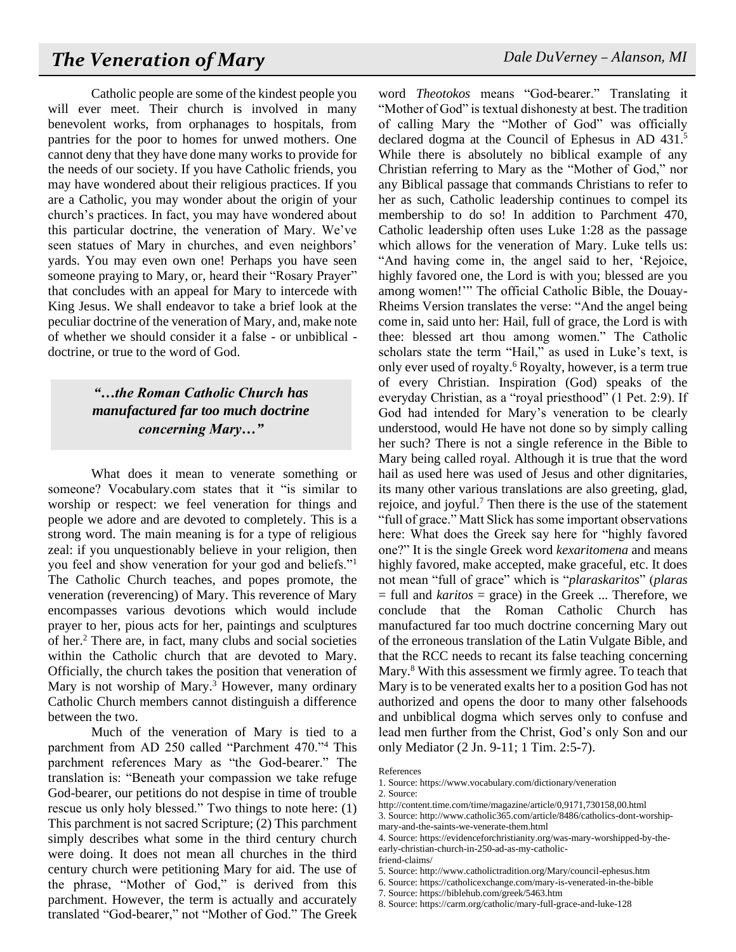Catholic people are some of the kindest people you will ever meet. Their church is involved in many benevolent works, from orphanages to hospitals, from pantries for the poor to homes for unwed mothers. One cannot deny that they have done many works to provide for the needs of our society. If you have Catholic friends, you may have wondered about their religious practices. If you are a Catholic, you may wonder about the origin of your church's practices. In fact, you may have wondered about this particular doctrine, the veneration of Mary. We've seen statues of Mary in churches, and even neighbors' yards. You may even own one! Perhaps you have seen someone praying to Mary, or, heard their "Rosary Prayer" that concludes with an appeal for Mary to intercede with King Jesus. We shall endeavor to take a brief look at the peculiar doctrine of the veneration of Mary, and, make note of whether we should consider it a false - or unbiblical doctrine, or true to the word of God.

### *"…the Roman Catholic Church has manufactured far too much doctrine concerning Mary…"*

What does it mean to venerate something or someone? Vocabulary.com states that it "is similar to worship or respect: we feel veneration for things and people we adore and are devoted to completely. This is a strong word. The main meaning is for a type of religious zeal: if you unquestionably believe in your religion, then you feel and show veneration for your god and beliefs."<sup>1</sup> The Catholic Church teaches, and popes promote, the veneration (reverencing) of Mary. This reverence of Mary encompasses various devotions which would include prayer to her, pious acts for her, paintings and sculptures of her.<sup>2</sup> There are, in fact, many clubs and social societies within the Catholic church that are devoted to Mary. Officially, the church takes the position that veneration of Mary is not worship of Mary.<sup>3</sup> However, many ordinary Catholic Church members cannot distinguish a difference between the two.

Much of the veneration of Mary is tied to a parchment from AD 250 called "Parchment 470."<sup>4</sup> This parchment references Mary as "the God-bearer." The translation is: "Beneath your compassion we take refuge God-bearer, our petitions do not despise in time of trouble rescue us only holy blessed." Two things to note here: (1) This parchment is not sacred Scripture; (2) This parchment simply describes what some in the third century church were doing. It does not mean all churches in the third century church were petitioning Mary for aid. The use of the phrase, "Mother of God," is derived from this parchment. However, the term is actually and accurately translated "God-bearer," not "Mother of God." The Greek word *Theotokos* means "God-bearer." Translating it "Mother of God" is textual dishonesty at best. The tradition of calling Mary the "Mother of God" was officially declared dogma at the Council of Ephesus in AD 431.<sup>5</sup> While there is absolutely no biblical example of any Christian referring to Mary as the "Mother of God," nor any Biblical passage that commands Christians to refer to her as such, Catholic leadership continues to compel its membership to do so! In addition to Parchment 470, Catholic leadership often uses Luke 1:28 as the passage which allows for the veneration of Mary. Luke tells us: "And having come in, the angel said to her, 'Rejoice, highly favored one, the Lord is with you; blessed are you among women!'" The official Catholic Bible, the Douay-Rheims Version translates the verse: "And the angel being come in, said unto her: Hail, full of grace, the Lord is with thee: blessed art thou among women." The Catholic scholars state the term "Hail," as used in Luke's text, is only ever used of royalty.<sup>6</sup> Royalty, however, is a term true of every Christian. Inspiration (God) speaks of the everyday Christian, as a "royal priesthood" (1 Pet. 2:9). If God had intended for Mary's veneration to be clearly understood, would He have not done so by simply calling her such? There is not a single reference in the Bible to Mary being called royal. Although it is true that the word hail as used here was used of Jesus and other dignitaries, its many other various translations are also greeting, glad, rejoice, and joyful.<sup>7</sup> Then there is the use of the statement "full of grace." Matt Slick has some important observations here: What does the Greek say here for "highly favored one?" It is the single Greek word *kexaritomena* and means highly favored, make accepted, make graceful, etc. It does not mean "full of grace" which is "*plaraskaritos*" (*plaras* = full and *karitos* = grace) in the Greek ... Therefore, we conclude that the Roman Catholic Church has manufactured far too much doctrine concerning Mary out of the erroneous translation of the Latin Vulgate Bible, and that the RCC needs to recant its false teaching concerning Mary.<sup>8</sup> With this assessment we firmly agree. To teach that Mary is to be venerated exalts her to a position God has not authorized and opens the door to many other falsehoods and unbiblical dogma which serves only to confuse and lead men further from the Christ, God's only Son and our only Mediator (2 Jn. 9-11; 1 Tim. 2:5-7).

5. Source: http://www.catholictradition.org/Mary/council-ephesus.htm

7. Source: https://biblehub.com/greek/5463.htm

References

<sup>1.</sup> Source: https://www.vocabulary.com/dictionary/veneration 2. Source:

http://content.time.com/time/magazine/article/0,9171,730158,00.html

<sup>3.</sup> Source: http://www.catholic365.com/article/8486/catholics-dont-worshipmary-and-the-saints-we-venerate-them.html

<sup>4.</sup> Source: https://evidenceforchristianity.org/was-mary-worshipped-by-theearly-christian-church-in-250-ad-as-my-catholic-

friend-claims/

<sup>6.</sup> Source: https://catholicexchange.com/mary-is-venerated-in-the-bible

<sup>8.</sup> Source: https://carm.org/catholic/mary-full-grace-and-luke-128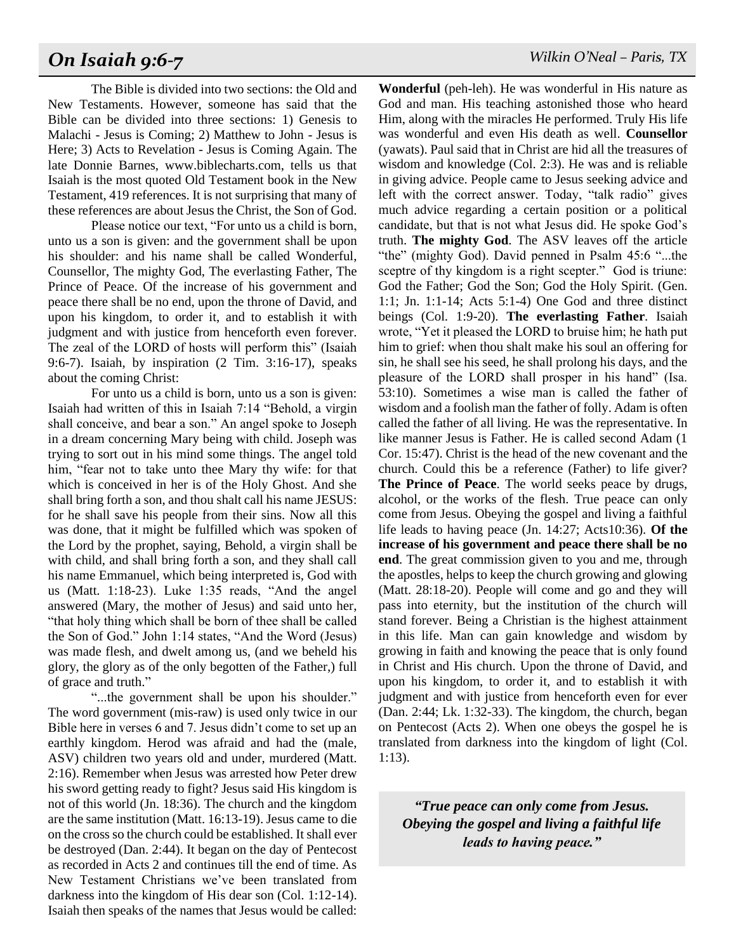# *On Isaiah 9:6-7 Wilkin O'Neal – Paris, TX*

The Bible is divided into two sections: the Old and New Testaments. However, someone has said that the Bible can be divided into three sections: 1) Genesis to Malachi - Jesus is Coming; 2) Matthew to John - Jesus is Here; 3) Acts to Revelation - Jesus is Coming Again. The late Donnie Barnes, www.biblecharts.com, tells us that Isaiah is the most quoted Old Testament book in the New Testament, 419 references. It is not surprising that many of these references are about Jesus the Christ, the Son of God.

Please notice our text, "For unto us a child is born, unto us a son is given: and the government shall be upon his shoulder: and his name shall be called Wonderful, Counsellor, The mighty God, The everlasting Father, The Prince of Peace. Of the increase of his government and peace there shall be no end, upon the throne of David, and upon his kingdom, to order it, and to establish it with judgment and with justice from henceforth even forever. The zeal of the LORD of hosts will perform this" (Isaiah 9:6-7). Isaiah, by inspiration (2 Tim. 3:16-17), speaks about the coming Christ:

For unto us a child is born, unto us a son is given: Isaiah had written of this in Isaiah 7:14 "Behold, a virgin shall conceive, and bear a son." An angel spoke to Joseph in a dream concerning Mary being with child. Joseph was trying to sort out in his mind some things. The angel told him, "fear not to take unto thee Mary thy wife: for that which is conceived in her is of the Holy Ghost. And she shall bring forth a son, and thou shalt call his name JESUS: for he shall save his people from their sins. Now all this was done, that it might be fulfilled which was spoken of the Lord by the prophet, saying, Behold, a virgin shall be with child, and shall bring forth a son, and they shall call his name Emmanuel, which being interpreted is, God with us (Matt. 1:18-23). Luke 1:35 reads, "And the angel answered (Mary, the mother of Jesus) and said unto her, "that holy thing which shall be born of thee shall be called the Son of God." John 1:14 states, "And the Word (Jesus) was made flesh, and dwelt among us, (and we beheld his glory, the glory as of the only begotten of the Father,) full of grace and truth."

"...the government shall be upon his shoulder." The word government (mis-raw) is used only twice in our Bible here in verses 6 and 7. Jesus didn't come to set up an earthly kingdom. Herod was afraid and had the (male, ASV) children two years old and under, murdered (Matt. 2:16). Remember when Jesus was arrested how Peter drew his sword getting ready to fight? Jesus said His kingdom is not of this world (Jn. 18:36). The church and the kingdom are the same institution (Matt. 16:13-19). Jesus came to die on the cross so the church could be established. It shall ever be destroyed (Dan. 2:44). It began on the day of Pentecost as recorded in Acts 2 and continues till the end of time. As New Testament Christians we've been translated from darkness into the kingdom of His dear son (Col. 1:12-14). Isaiah then speaks of the names that Jesus would be called:

**Wonderful** (peh-leh). He was wonderful in His nature as God and man. His teaching astonished those who heard Him, along with the miracles He performed. Truly His life was wonderful and even His death as well. **Counsellor** (yawats). Paul said that in Christ are hid all the treasures of wisdom and knowledge (Col. 2:3). He was and is reliable in giving advice. People came to Jesus seeking advice and left with the correct answer. Today, "talk radio" gives much advice regarding a certain position or a political candidate, but that is not what Jesus did. He spoke God's truth. **The mighty God**. The ASV leaves off the article "the" (mighty God). David penned in Psalm 45:6 "...the sceptre of thy kingdom is a right scepter." God is triune: God the Father; God the Son; God the Holy Spirit. (Gen. 1:1; Jn. 1:1-14; Acts 5:1-4) One God and three distinct beings (Col. 1:9-20). **The everlasting Father**. Isaiah wrote, "Yet it pleased the LORD to bruise him; he hath put him to grief: when thou shalt make his soul an offering for sin, he shall see his seed, he shall prolong his days, and the pleasure of the LORD shall prosper in his hand" (Isa. 53:10). Sometimes a wise man is called the father of wisdom and a foolish man the father of folly. Adam is often called the father of all living. He was the representative. In like manner Jesus is Father. He is called second Adam (1 Cor. 15:47). Christ is the head of the new covenant and the church. Could this be a reference (Father) to life giver? **The Prince of Peace**. The world seeks peace by drugs, alcohol, or the works of the flesh. True peace can only come from Jesus. Obeying the gospel and living a faithful life leads to having peace (Jn. 14:27; Acts10:36). **Of the increase of his government and peace there shall be no end**. The great commission given to you and me, through the apostles, helps to keep the church growing and glowing (Matt. 28:18-20). People will come and go and they will pass into eternity, but the institution of the church will stand forever. Being a Christian is the highest attainment in this life. Man can gain knowledge and wisdom by growing in faith and knowing the peace that is only found in Christ and His church. Upon the throne of David, and upon his kingdom, to order it, and to establish it with judgment and with justice from henceforth even for ever (Dan. 2:44; Lk. 1:32-33). The kingdom, the church, began on Pentecost (Acts 2). When one obeys the gospel he is translated from darkness into the kingdom of light (Col. 1:13).

*"True peace can only come from Jesus. Obeying the gospel and living a faithful life leads to having peace."*